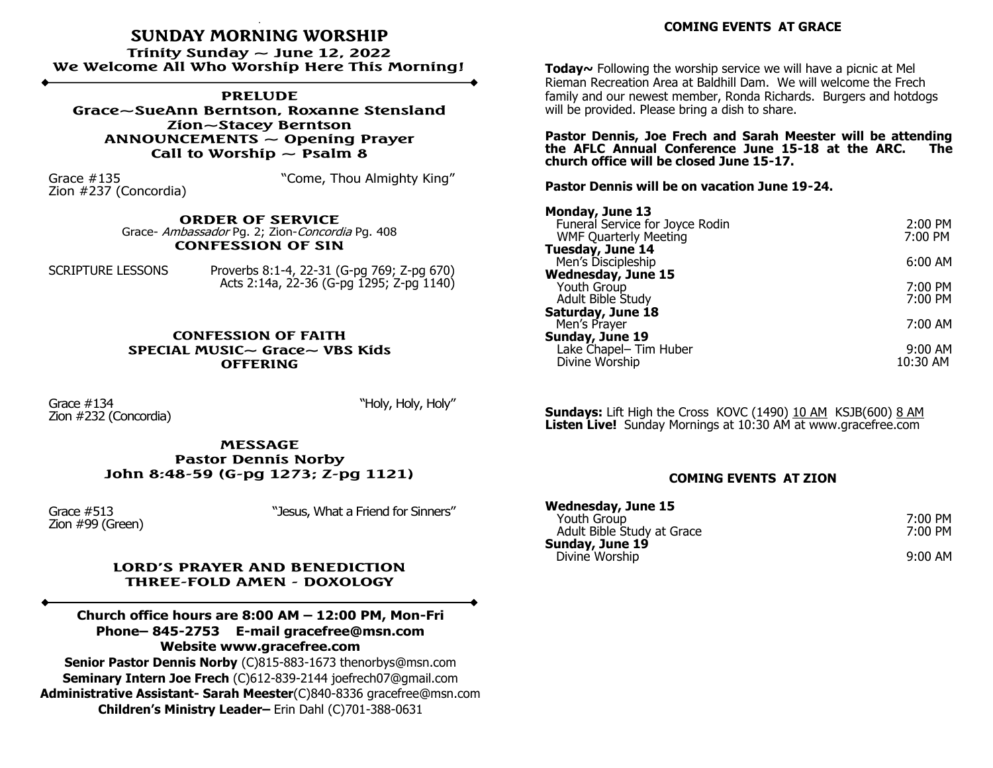## **SUNDAY MORNING WORSHIP**

**Trinity Sunday ~ June 12, 2022 We Welcome All Who Worship Here This Morning!**

**PRELUDE Grace~SueAnn Berntson, Roxanne Stensland Zion~Stacey Berntson ANNOUNCEMENTS ~ Opening Prayer** Call to Worship  $\sim$  Psalm 8

Zion #237 (Concordia)

Grace #135 **Share Example 26 Transform Come, Thou Almighty King"** 

**ORDER OF SERVICE**  Grace- Ambassador Pg. 2; Zion-Concordia Pg. 408 **CONFESSION OF SIN**

SCRIPTURE LESSONS Proverbs 8:1-4, 22-31 (G-pg 769; Z-pg 670) Acts 2:14a, 22-36 (G-pg 1295; Z-pg 1140)

> **CONFESSION OF FAITH SPECIAL MUSIC~ Grace~ VBS Kids OFFERING**

Grace #134  $\mu$  March 2013  $\mu$  March 2014  $\mu$  March 2014  $\mu$  March 2014  $\mu$ Zion #232 (Concordia)

**MESSAGE Pastor Dennis Norby John 8:48-59 (G-pg 1273; Z-pg 1121)**

Zion #99 (Green)

Grace #513 **Grace #513 Supering Market Struck Contract Struck Contract Struck Contract Struck** Contract Struck Contract Struck Contract Struck Contract Struck Contract Struck Contract Struck Contract Struck Contract St

#### **LORD'S PRAYER AND BENEDICTION THREE-FOLD AMEN - DOXOLOGY**

**Church office hours are 8:00 AM – 12:00 PM, Mon-Fri Phone– 845-2753 E-mail gracefree@msn.com Website www.gracefree.com**

**Senior Pastor Dennis Norby** (C)815-883-1673 thenorbys@msn.com **Seminary Intern Joe Frech** (C)612-839-2144 joefrech07@gmail.com **Administrative Assistant- Sarah Meester**(C)840-8336 gracefree@msn.com **Children's Ministry Leader–** Erin Dahl (C)701-388-0631

**Today~** Following the worship service we will have a picnic at Mel Rieman Recreation Area at Baldhill Dam. We will welcome the Frech family and our newest member, Ronda Richards. Burgers and hotdogs will be provided. Please bring a dish to share.

**Pastor Dennis, Joe Frech and Sarah Meester will be attending the AFLC Annual Conference June 15-18 at the ARC. The church office will be closed June 15-17.**

**Pastor Dennis will be on vacation June 19-24.**

| Monday, June 13                 |                     |
|---------------------------------|---------------------|
| Funeral Service for Joyce Rodin | $2:00$ PM           |
| <b>WMF Quarterly Meeting</b>    | 7:00 PM             |
| Tuesday, June 14                |                     |
| Men's Discipleship              | $6:00 \, \text{AM}$ |
| <b>Wednesday, June 15</b>       |                     |
| Youth Group                     | 7:00 PM             |
| Adult Bible Study               | 7:00 PM             |
| Saturday, June 18               |                     |
| Men's Prayer                    | 7:00 AM             |
| Sunday, June 19                 |                     |
| Lake Chapel- Tim Huber          | $9:00 \, \text{AM}$ |
| Divine Worship                  | 10:30 AM            |
|                                 |                     |

**Sundays:** Lift High the Cross KOVC (1490) 10 AM KSJB(600) 8 AM **Listen Live!** Sunday Mornings at 10:30 AM at www.gracefree.com

#### **COMING EVENTS AT ZION**

| <b>Wednesday, June 15</b>  |         |
|----------------------------|---------|
| Youth Group                | 7:00 PM |
| Adult Bible Study at Grace | 7:00 PM |
| Sunday, June 19            |         |
| Divine Worship             | 9:00 AM |
|                            |         |

### **COMING EVENTS AT GRACE**